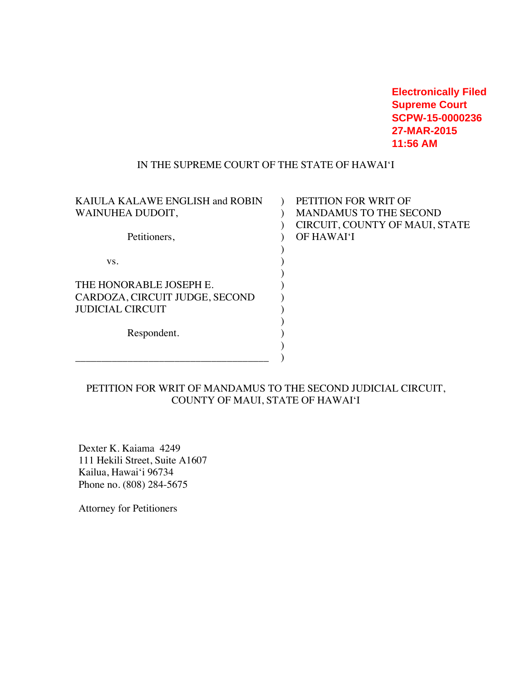**Electronically Filed Supreme Court SCPW-15-0000236 27-MAR-2015 11:56 AM**

#### IN THE SUPREME COURT OF THE STATE OF HAWAI'I

| KAIULA KALAWE ENGLISH and ROBIN | PETITION FOR WRIT OF           |
|---------------------------------|--------------------------------|
| WAINUHEA DUDOIT,                | <b>MANDAMUS TO THE SECOND</b>  |
|                                 | CIRCUIT, COUNTY OF MAUI, STATE |
| Petitioners,                    | OF HAWAI'I                     |
|                                 |                                |
| VS.                             |                                |
|                                 |                                |
| THE HONORABLE JOSEPH E.         |                                |
| CARDOZA, CIRCUIT JUDGE, SECOND  |                                |
| <b>JUDICIAL CIRCUIT</b>         |                                |
|                                 |                                |
| Respondent.                     |                                |
|                                 |                                |
|                                 |                                |
|                                 |                                |

# PETITION FOR WRIT OF MANDAMUS TO THE SECOND JUDICIAL CIRCUIT, COUNTY OF MAUI, STATE OF HAWAI'I

Dexter K. Kaiama 4249 111 Hekili Street, Suite A1607 Kailua, Hawai'i 96734 Phone no. (808) 284-5675

Attorney for Petitioners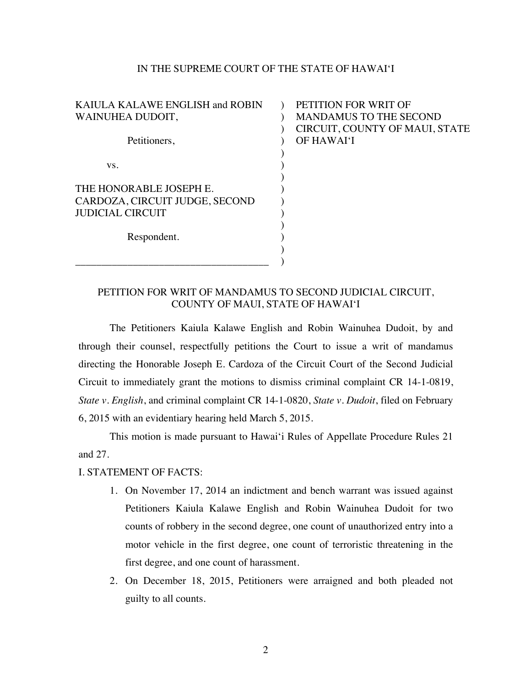#### IN THE SUPREME COURT OF THE STATE OF HAWAI'I

KAIULA KALAWE ENGLISH and ROBIN WAINUHEA DUDOIT, Petitioners, vs. THE HONORABLE JOSEPH E. CARDOZA, CIRCUIT JUDGE, SECOND JUDICIAL CIRCUIT Respondent.  $\mathcal{L}$  $\mathcal{L}$  $\lambda$  $\mathcal{L}$ ) ) ) ) ) ) ) ) )

\_\_\_\_\_\_\_\_\_\_\_\_\_\_\_\_\_\_\_\_\_\_\_\_\_\_\_\_\_\_\_\_\_\_\_\_\_

## PETITION FOR WRIT OF MANDAMUS TO THE SECOND CIRCUIT, COUNTY OF MAUI, STATE OF HAWAI'I

## PETITION FOR WRIT OF MANDAMUS TO SECOND JUDICIAL CIRCUIT, COUNTY OF MAUI, STATE OF HAWAI'I

)

The Petitioners Kaiula Kalawe English and Robin Wainuhea Dudoit, by and through their counsel, respectfully petitions the Court to issue a writ of mandamus directing the Honorable Joseph E. Cardoza of the Circuit Court of the Second Judicial Circuit to immediately grant the motions to dismiss criminal complaint CR 14-1-0819, *State v. English*, and criminal complaint CR 14-1-0820, *State v. Dudoit*, filed on February 6, 2015 with an evidentiary hearing held March 5, 2015.

This motion is made pursuant to Hawai'i Rules of Appellate Procedure Rules 21 and 27.

### I. STATEMENT OF FACTS:

- 1. On November 17, 2014 an indictment and bench warrant was issued against Petitioners Kaiula Kalawe English and Robin Wainuhea Dudoit for two counts of robbery in the second degree, one count of unauthorized entry into a motor vehicle in the first degree, one count of terroristic threatening in the first degree, and one count of harassment.
- 2. On December 18, 2015, Petitioners were arraigned and both pleaded not guilty to all counts.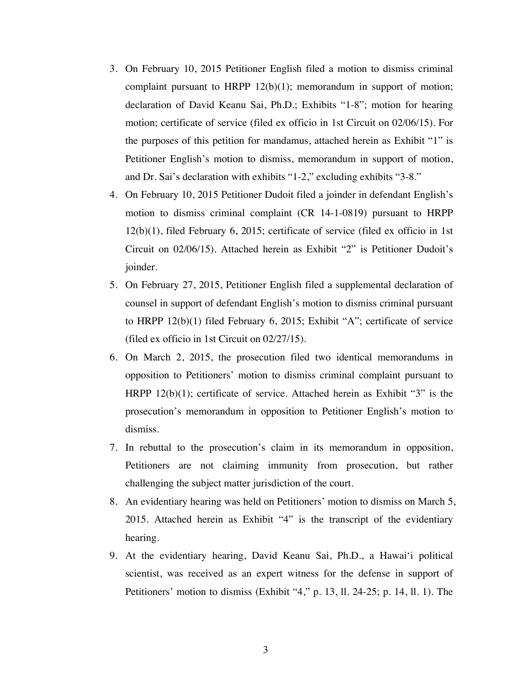- 3. On February 10, 2015 Petitioner English filed a motion to dismiss criminal complaint pursuant to HRPP 12(b)(1); memorandum in support of motion; declaration of David Keanu Sai, Ph.D.; Exhibits "1-8"; motion for hearing motion; certificate of service (filed ex officio in 1st Circuit on 02/06/15). For the purposes of this petition for mandamus, attached herein as Exhibit "1" is Petitioner English's motion to dismiss, memorandum in support of motion, and Dr. Sai's declaration with exhibits "1-2," excluding exhibits "3-8."
- 4. On February 10, 2015 Petitioner Dudoit filed a joinder in defendant English's motion to dismiss criminal complaint (CR 14-1-0819) pursuant to HRPP 12(b)(1), filed February 6, 2015; certificate of service (filed ex officio in 1st Circuit on 02/06/15). Attached herein as Exhibit "2" is Petitioner Dudoit's joinder.
- 5. On February 27, 2015, Petitioner English filed a supplemental declaration of counsel in support of defendant English's motion to dismiss criminal pursuant to HRPP 12(b)(1) filed February 6, 2015; Exhibit "A"; certificate of service (filed ex officio in 1st Circuit on 02/27/15).
- 6. On March 2, 2015, the prosecution filed two identical memorandums in opposition to Petitioners' motion to dismiss criminal complaint pursuant to HRPP 12(b)(1); certificate of service. Attached herein as Exhibit "3" is the prosecution's memorandum in opposition to Petitioner English's motion to dismiss.
- 7. In rebuttal to the prosecution's claim in its memorandum in opposition, Petitioners are not claiming immunity from prosecution, but rather challenging the subject matter jurisdiction of the court.
- 8. An evidentiary hearing was held on Petitioners' motion to dismiss on March 5, 2015. Attached herein as Exhibit "4" is the transcript of the evidentiary hearing.
- 9. At the evidentiary hearing, David Keanu Sai, Ph.D., a Hawai'i political scientist, was received as an expert witness for the defense in support of Petitioners' motion to dismiss (Exhibit "4," p. 13, ll. 24-25; p. 14, ll. 1). The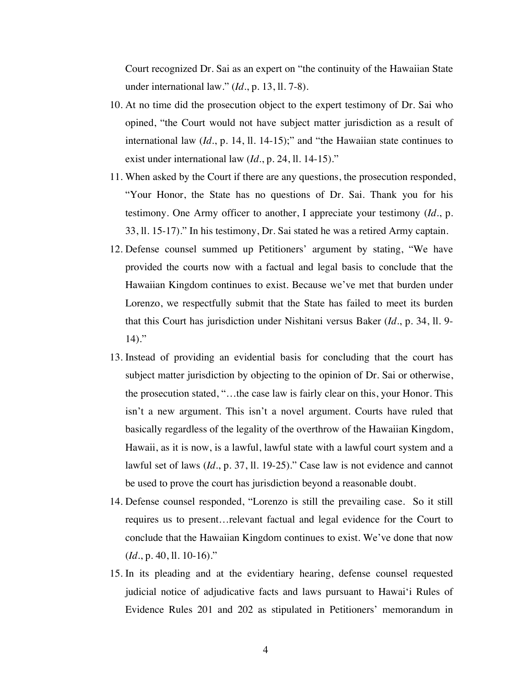Court recognized Dr. Sai as an expert on "the continuity of the Hawaiian State under international law." (*Id*., p. 13, ll. 7-8).

- 10. At no time did the prosecution object to the expert testimony of Dr. Sai who opined, "the Court would not have subject matter jurisdiction as a result of international law (*Id*., p. 14, ll. 14-15);" and "the Hawaiian state continues to exist under international law (*Id*., p. 24, ll. 14-15)."
- 11. When asked by the Court if there are any questions, the prosecution responded, "Your Honor, the State has no questions of Dr. Sai. Thank you for his testimony. One Army officer to another, I appreciate your testimony (*Id*., p. 33, ll. 15-17)." In his testimony, Dr. Sai stated he was a retired Army captain.
- 12. Defense counsel summed up Petitioners' argument by stating, "We have provided the courts now with a factual and legal basis to conclude that the Hawaiian Kingdom continues to exist. Because we've met that burden under Lorenzo, we respectfully submit that the State has failed to meet its burden that this Court has jurisdiction under Nishitani versus Baker (*Id*., p. 34, ll. 9-  $14)$ ."
- 13. Instead of providing an evidential basis for concluding that the court has subject matter jurisdiction by objecting to the opinion of Dr. Sai or otherwise, the prosecution stated, "…the case law is fairly clear on this, your Honor. This isn't a new argument. This isn't a novel argument. Courts have ruled that basically regardless of the legality of the overthrow of the Hawaiian Kingdom, Hawaii, as it is now, is a lawful, lawful state with a lawful court system and a lawful set of laws (*Id*., p. 37, ll. 19-25)." Case law is not evidence and cannot be used to prove the court has jurisdiction beyond a reasonable doubt.
- 14. Defense counsel responded, "Lorenzo is still the prevailing case. So it still requires us to present…relevant factual and legal evidence for the Court to conclude that the Hawaiian Kingdom continues to exist. We've done that now (*Id*., p. 40, ll. 10-16)."
- 15. In its pleading and at the evidentiary hearing, defense counsel requested judicial notice of adjudicative facts and laws pursuant to Hawai'i Rules of Evidence Rules 201 and 202 as stipulated in Petitioners' memorandum in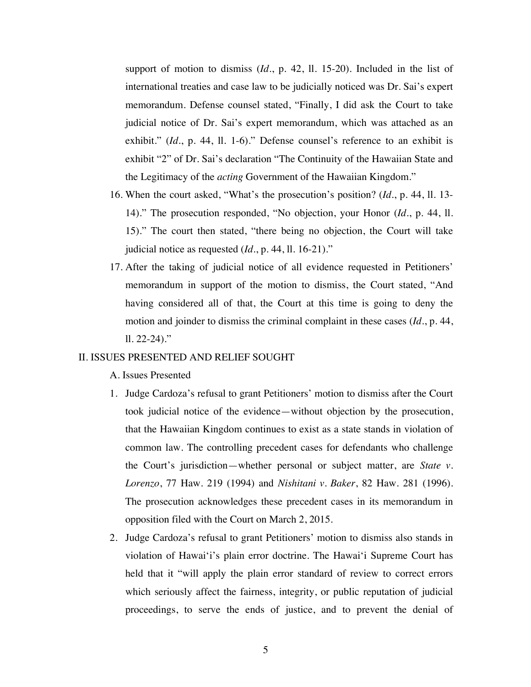support of motion to dismiss (*Id*., p. 42, ll. 15-20). Included in the list of international treaties and case law to be judicially noticed was Dr. Sai's expert memorandum. Defense counsel stated, "Finally, I did ask the Court to take judicial notice of Dr. Sai's expert memorandum, which was attached as an exhibit." (*Id*., p. 44, ll. 1-6)." Defense counsel's reference to an exhibit is exhibit "2" of Dr. Sai's declaration "The Continuity of the Hawaiian State and the Legitimacy of the *acting* Government of the Hawaiian Kingdom."

- 16. When the court asked, "What's the prosecution's position? (*Id*., p. 44, ll. 13- 14)." The prosecution responded, "No objection, your Honor (*Id*., p. 44, ll. 15)." The court then stated, "there being no objection, the Court will take judicial notice as requested (*Id*., p. 44, ll. 16-21)."
- 17. After the taking of judicial notice of all evidence requested in Petitioners' memorandum in support of the motion to dismiss, the Court stated, "And having considered all of that, the Court at this time is going to deny the motion and joinder to dismiss the criminal complaint in these cases (*Id*., p. 44,  $11.22 - 24$ ."

#### II. ISSUES PRESENTED AND RELIEF SOUGHT

A. Issues Presented

- 1. Judge Cardoza's refusal to grant Petitioners' motion to dismiss after the Court took judicial notice of the evidence—without objection by the prosecution, that the Hawaiian Kingdom continues to exist as a state stands in violation of common law. The controlling precedent cases for defendants who challenge the Court's jurisdiction—whether personal or subject matter, are *State v. Lorenzo*, 77 Haw. 219 (1994) and *Nishitani v. Baker*, 82 Haw. 281 (1996). The prosecution acknowledges these precedent cases in its memorandum in opposition filed with the Court on March 2, 2015.
- 2. Judge Cardoza's refusal to grant Petitioners' motion to dismiss also stands in violation of Hawai'i's plain error doctrine. The Hawai'i Supreme Court has held that it "will apply the plain error standard of review to correct errors which seriously affect the fairness, integrity, or public reputation of judicial proceedings, to serve the ends of justice, and to prevent the denial of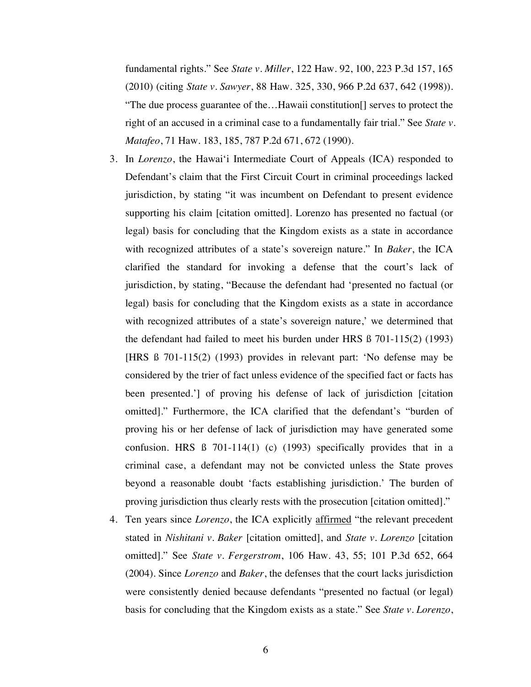fundamental rights." See *State v. Miller*, 122 Haw. 92, 100, 223 P.3d 157, 165 (2010) (citing *State v. Sawyer*, 88 Haw. 325, 330, 966 P.2d 637, 642 (1998)). "The due process guarantee of the…Hawaii constitution[] serves to protect the right of an accused in a criminal case to a fundamentally fair trial." See *State v. Matafeo*, 71 Haw. 183, 185, 787 P.2d 671, 672 (1990).

- 3. In *Lorenzo*, the Hawai'i Intermediate Court of Appeals (ICA) responded to Defendant's claim that the First Circuit Court in criminal proceedings lacked jurisdiction, by stating "it was incumbent on Defendant to present evidence supporting his claim [citation omitted]. Lorenzo has presented no factual (or legal) basis for concluding that the Kingdom exists as a state in accordance with recognized attributes of a state's sovereign nature." In *Baker*, the ICA clarified the standard for invoking a defense that the court's lack of jurisdiction, by stating, "Because the defendant had 'presented no factual (or legal) basis for concluding that the Kingdom exists as a state in accordance with recognized attributes of a state's sovereign nature,' we determined that the defendant had failed to meet his burden under HRS ß 701-115(2) (1993) [HRS ß 701-115(2) (1993) provides in relevant part: 'No defense may be considered by the trier of fact unless evidence of the specified fact or facts has been presented.'] of proving his defense of lack of jurisdiction [citation omitted]." Furthermore, the ICA clarified that the defendant's "burden of proving his or her defense of lack of jurisdiction may have generated some confusion. HRS ß 701-114(1) (c) (1993) specifically provides that in a criminal case, a defendant may not be convicted unless the State proves beyond a reasonable doubt 'facts establishing jurisdiction.' The burden of proving jurisdiction thus clearly rests with the prosecution [citation omitted]."
- 4. Ten years since *Lorenzo*, the ICA explicitly affirmed "the relevant precedent stated in *Nishitani v. Baker* [citation omitted], and *State v. Lorenzo* [citation omitted]." See *State v. Fergerstrom*, 106 Haw. 43, 55; 101 P.3d 652, 664 (2004). Since *Lorenzo* and *Baker*, the defenses that the court lacks jurisdiction were consistently denied because defendants "presented no factual (or legal) basis for concluding that the Kingdom exists as a state." See *State v. Lorenzo*,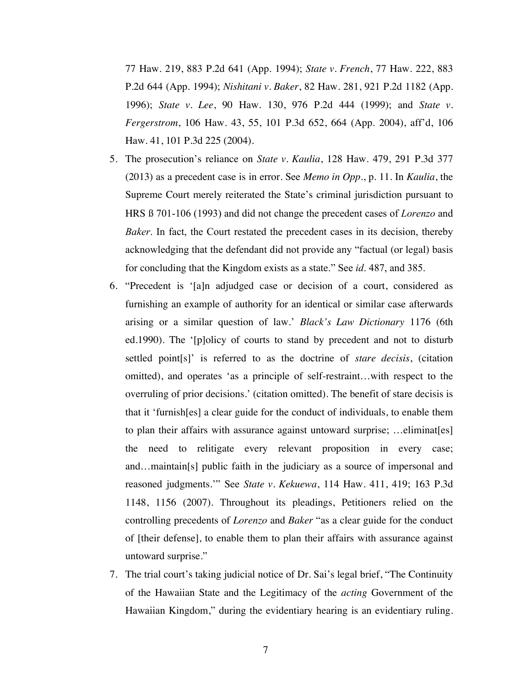77 Haw. 219, 883 P.2d 641 (App. 1994); *State v. French*, 77 Haw. 222, 883 P.2d 644 (App. 1994); *Nishitani v. Baker*, 82 Haw. 281, 921 P.2d 1182 (App. 1996); *State v. Lee*, 90 Haw. 130, 976 P.2d 444 (1999); and *State v. Fergerstrom*, 106 Haw. 43, 55, 101 P.3d 652, 664 (App. 2004), aff'd, 106 Haw. 41, 101 P.3d 225 (2004).

- 5. The prosecution's reliance on *State v. Kaulia*, 128 Haw. 479, 291 P.3d 377 (2013) as a precedent case is in error. See *Memo in Opp.*, p. 11. In *Kaulia*, the Supreme Court merely reiterated the State's criminal jurisdiction pursuant to HRS ß 701-106 (1993) and did not change the precedent cases of *Lorenzo* and *Baker*. In fact, the Court restated the precedent cases in its decision, thereby acknowledging that the defendant did not provide any "factual (or legal) basis for concluding that the Kingdom exists as a state." See *id*. 487, and 385.
- 6. "Precedent is '[a]n adjudged case or decision of a court, considered as furnishing an example of authority for an identical or similar case afterwards arising or a similar question of law.' *Black's Law Dictionary* 1176 (6th ed.1990). The '[p]olicy of courts to stand by precedent and not to disturb settled point[s]' is referred to as the doctrine of *stare decisis*, (citation omitted), and operates 'as a principle of self-restraint…with respect to the overruling of prior decisions.' (citation omitted). The benefit of stare decisis is that it 'furnish[es] a clear guide for the conduct of individuals, to enable them to plan their affairs with assurance against untoward surprise; …eliminat[es] the need to relitigate every relevant proposition in every case; and…maintain[s] public faith in the judiciary as a source of impersonal and reasoned judgments.'" See *State v. Kekuewa*, 114 Haw. 411, 419; 163 P.3d 1148, 1156 (2007). Throughout its pleadings, Petitioners relied on the controlling precedents of *Lorenzo* and *Baker* "as a clear guide for the conduct of [their defense], to enable them to plan their affairs with assurance against untoward surprise."
- 7. The trial court's taking judicial notice of Dr. Sai's legal brief, "The Continuity of the Hawaiian State and the Legitimacy of the *acting* Government of the Hawaiian Kingdom," during the evidentiary hearing is an evidentiary ruling.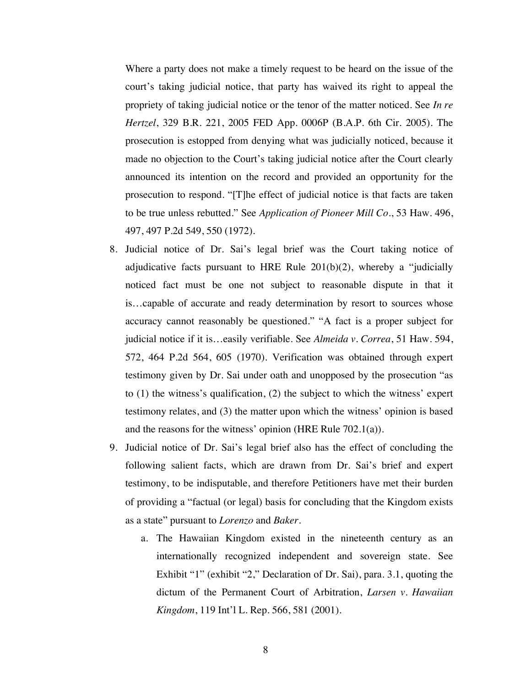Where a party does not make a timely request to be heard on the issue of the court's taking judicial notice, that party has waived its right to appeal the propriety of taking judicial notice or the tenor of the matter noticed. See *In re Hertzel*, 329 B.R. 221, 2005 FED App. 0006P (B.A.P. 6th Cir. 2005). The prosecution is estopped from denying what was judicially noticed, because it made no objection to the Court's taking judicial notice after the Court clearly announced its intention on the record and provided an opportunity for the prosecution to respond. "[T]he effect of judicial notice is that facts are taken to be true unless rebutted." See *Application of Pioneer Mill Co.*, 53 Haw. 496, 497, 497 P.2d 549, 550 (1972).

- 8. Judicial notice of Dr. Sai's legal brief was the Court taking notice of adjudicative facts pursuant to HRE Rule  $201(b)(2)$ , whereby a "judicially noticed fact must be one not subject to reasonable dispute in that it is…capable of accurate and ready determination by resort to sources whose accuracy cannot reasonably be questioned." "A fact is a proper subject for judicial notice if it is…easily verifiable. See *Almeida v. Correa*, 51 Haw. 594, 572, 464 P.2d 564, 605 (1970). Verification was obtained through expert testimony given by Dr. Sai under oath and unopposed by the prosecution "as to (1) the witness's qualification, (2) the subject to which the witness' expert testimony relates, and (3) the matter upon which the witness' opinion is based and the reasons for the witness' opinion (HRE Rule 702.1(a)).
- 9. Judicial notice of Dr. Sai's legal brief also has the effect of concluding the following salient facts, which are drawn from Dr. Sai's brief and expert testimony, to be indisputable, and therefore Petitioners have met their burden of providing a "factual (or legal) basis for concluding that the Kingdom exists as a state" pursuant to *Lorenzo* and *Baker.*
	- a. The Hawaiian Kingdom existed in the nineteenth century as an internationally recognized independent and sovereign state. See Exhibit "1" (exhibit "2," Declaration of Dr. Sai), para. 3.1, quoting the dictum of the Permanent Court of Arbitration, *Larsen v. Hawaiian Kingdom*, 119 Int'l L. Rep. 566, 581 (2001).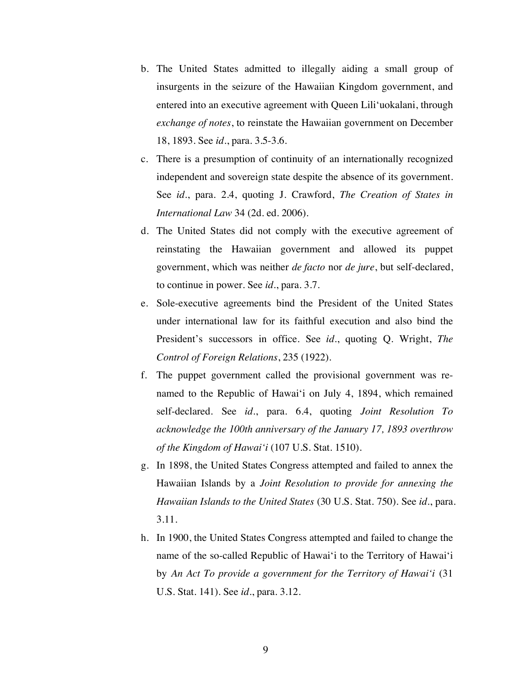- b. The United States admitted to illegally aiding a small group of insurgents in the seizure of the Hawaiian Kingdom government, and entered into an executive agreement with Queen Lili'uokalani, through *exchange of notes*, to reinstate the Hawaiian government on December 18, 1893. See *id*., para. 3.5-3.6.
- c. There is a presumption of continuity of an internationally recognized independent and sovereign state despite the absence of its government. See *id*., para. 2.4, quoting J. Crawford, *The Creation of States in International Law* 34 (2d. ed. 2006).
- d. The United States did not comply with the executive agreement of reinstating the Hawaiian government and allowed its puppet government, which was neither *de facto* nor *de jure*, but self-declared, to continue in power. See *id*., para. 3.7.
- e. Sole-executive agreements bind the President of the United States under international law for its faithful execution and also bind the President's successors in office. See *id*., quoting Q. Wright, *The Control of Foreign Relations*, 235 (1922).
- f. The puppet government called the provisional government was renamed to the Republic of Hawai'i on July 4, 1894, which remained self-declared. See *id*., para. 6.4, quoting *Joint Resolution To acknowledge the 100th anniversary of the January 17, 1893 overthrow of the Kingdom of Hawai'i* (107 U.S. Stat. 1510).
- g. In 1898, the United States Congress attempted and failed to annex the Hawaiian Islands by a *Joint Resolution to provide for annexing the Hawaiian Islands to the United States* (30 U.S. Stat. 750). See *id*., para. 3.11.
- h. In 1900, the United States Congress attempted and failed to change the name of the so-called Republic of Hawai'i to the Territory of Hawai'i by *An Act To provide a government for the Territory of Hawai'i* (31 U.S. Stat. 141). See *id*., para. 3.12.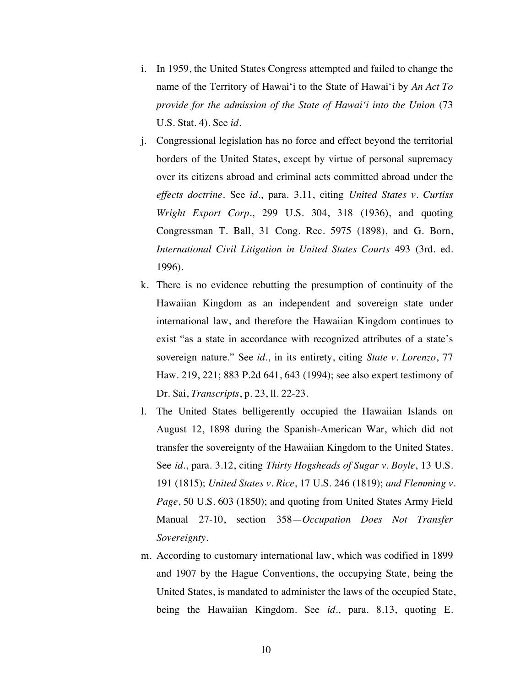- i. In 1959, the United States Congress attempted and failed to change the name of the Territory of Hawai'i to the State of Hawai'i by *An Act To provide for the admission of the State of Hawai'i into the Union* (73 U.S. Stat. 4). See *id*.
- j. Congressional legislation has no force and effect beyond the territorial borders of the United States, except by virtue of personal supremacy over its citizens abroad and criminal acts committed abroad under the *effects doctrine*. See *id*., para. 3.11, citing *United States v. Curtiss Wright Export Corp.*, 299 U.S. 304, 318 (1936), and quoting Congressman T. Ball, 31 Cong. Rec. 5975 (1898), and G. Born, *International Civil Litigation in United States Courts* 493 (3rd. ed. 1996).
- k. There is no evidence rebutting the presumption of continuity of the Hawaiian Kingdom as an independent and sovereign state under international law, and therefore the Hawaiian Kingdom continues to exist "as a state in accordance with recognized attributes of a state's sovereign nature." See *id*., in its entirety, citing *State v. Lorenzo*, 77 Haw. 219, 221; 883 P.2d 641, 643 (1994); see also expert testimony of Dr. Sai, *Transcripts*, p. 23, ll. 22-23.
- l. The United States belligerently occupied the Hawaiian Islands on August 12, 1898 during the Spanish-American War, which did not transfer the sovereignty of the Hawaiian Kingdom to the United States. See *id.*, para. 3.12, citing *Thirty Hogsheads of Sugar v. Boyle*, 13 U.S. 191 (1815); *United States v. Rice*, 17 U.S. 246 (1819); *and Flemming v. Page*, 50 U.S. 603 (1850); and quoting from United States Army Field Manual 27-10, section 358—*Occupation Does Not Transfer Sovereignty*.
- m. According to customary international law, which was codified in 1899 and 1907 by the Hague Conventions, the occupying State, being the United States, is mandated to administer the laws of the occupied State, being the Hawaiian Kingdom. See *id*., para. 8.13, quoting E.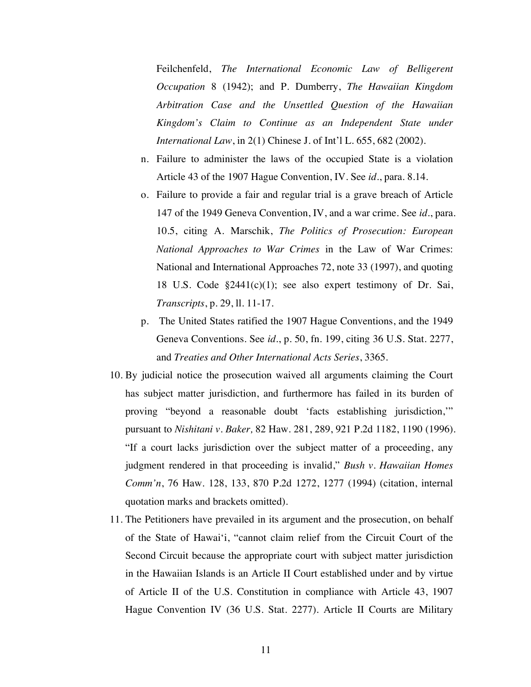Feilchenfeld, *The International Economic Law of Belligerent Occupation* 8 (1942); and P. Dumberry, *The Hawaiian Kingdom Arbitration Case and the Unsettled Question of the Hawaiian Kingdom's Claim to Continue as an Independent State under International Law*, in 2(1) Chinese J. of Int'l L. 655, 682 (2002).

- n. Failure to administer the laws of the occupied State is a violation Article 43 of the 1907 Hague Convention, IV. See *id*., para. 8.14.
- o. Failure to provide a fair and regular trial is a grave breach of Article 147 of the 1949 Geneva Convention, IV, and a war crime. See *id*., para. 10.5, citing A. Marschik, *The Politics of Prosecution: European National Approaches to War Crimes* in the Law of War Crimes: National and International Approaches 72, note 33 (1997), and quoting 18 U.S. Code §2441(c)(1); see also expert testimony of Dr. Sai, *Transcripts*, p. 29, ll. 11-17.
- p. The United States ratified the 1907 Hague Conventions, and the 1949 Geneva Conventions. See *id*., p. 50, fn. 199, citing 36 U.S. Stat. 2277, and *Treaties and Other International Acts Series*, 3365.
- 10. By judicial notice the prosecution waived all arguments claiming the Court has subject matter jurisdiction, and furthermore has failed in its burden of proving "beyond a reasonable doubt 'facts establishing jurisdiction,'" pursuant to *Nishitani v. Baker,* 82 Haw. 281, 289, 921 P.2d 1182, 1190 (1996). "If a court lacks jurisdiction over the subject matter of a proceeding, any judgment rendered in that proceeding is invalid," *Bush v. Hawaiian Homes Comm'n*, 76 Haw. 128, 133, 870 P.2d 1272, 1277 (1994) (citation, internal quotation marks and brackets omitted).
- 11. The Petitioners have prevailed in its argument and the prosecution, on behalf of the State of Hawai'i, "cannot claim relief from the Circuit Court of the Second Circuit because the appropriate court with subject matter jurisdiction in the Hawaiian Islands is an Article II Court established under and by virtue of Article II of the U.S. Constitution in compliance with Article 43, 1907 Hague Convention IV (36 U.S. Stat. 2277). Article II Courts are Military